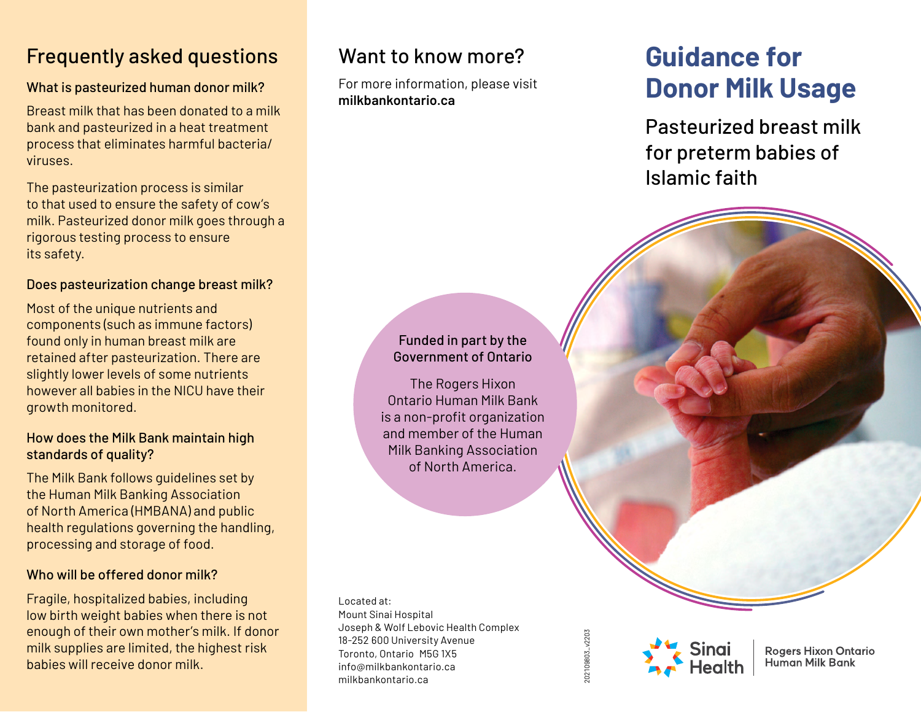## Frequently asked questions

### What is pasteurized human donor milk?

Breast milk that has been donated to a milk bank and pasteurized in a heat treatment process that eliminates harmful bacteria/ viruses.

The pasteurization process is similar to that used to ensure the safety of cow's milk. Pasteurized donor milk goes through a rigorous testing process to ensure its safety.

### Does pasteurization change breast milk?

Most of the unique nutrients and components (such as immune factors) found only in human breast milk are retained after pasteurization. There are slightly lower levels of some nutrients however all babies in the NICU have their growth monitored.

### How does the Milk Bank maintain high standards of quality?

The Milk Bank follows guidelines set by the Human Milk Banking Association of North America (HMBANA) and public health regulations governing the handling, processing and storage of food.

### Who will be offered donor milk?

Fragile, hospitalized babies, including low birth weight babies when there is not enough of their own mother's milk. If donor milk supplies are limited, the highest risk babies will receive donor milk.

### Want to know more?

For more information, please visit **milkbankontario.ca**

# **Guidance for Donor Milk Usage**

Pasteurized breast milk for preterm babies of Islamic faith

### Funded in part by the Government of Ontario

The Rogers Hixon Ontario Human Milk Bank is a non-profit organization and member of the Human Milk Banking Association of North America.

Located at: Mount Sinai Hospital Joseph & Wolf Lebovic Health Complex 18-252 600 University Avenue Toronto, Ontario M5G 1X5 info@milkbankontario.ca milkbankontario.ca

102109803\_v2203 202109803\_v2203



**Rogers Hixon Ontario Human Milk Bank**